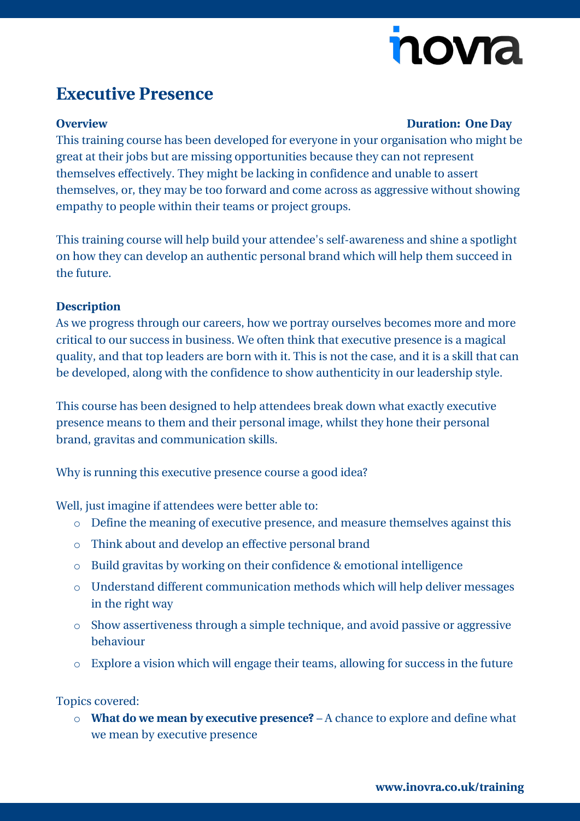# nova

## **Executive Presence**

#### **Overview Duration: One Day**

This training course has been developed for everyone in your organisation who might be great at their jobs but are missing opportunities because they can not represent themselves effectively. They might be lacking in confidence and unable to assert themselves, or, they may be too forward and come across as aggressive without showing empathy to people within their teams or project groups.

This training course will help build your attendee's self-awareness and shine a spotlight on how they can develop an authentic personal brand which will help them succeed in the future.

### **Description**

As we progress through our careers, how we portray ourselves becomes more and more critical to our success in business. We often think that executive presence is a magical quality, and that top leaders are born with it. This is not the case, and it is a skill that can be developed, along with the confidence to show authenticity in our leadership style.

This course has been designed to help attendees break down what exactly executive presence means to them and their personal image, whilst they hone their personal brand, gravitas and communication skills.

Why is running this executive presence course a good idea?

Well, just imagine if attendees were better able to:

- o Define the meaning of executive presence, and measure themselves against this
- o Think about and develop an effective personal brand
- o Build gravitas by working on their confidence & emotional intelligence
- o Understand different communication methods which will help deliver messages in the right way
- o Show assertiveness through a simple technique, and avoid passive or aggressive behaviour
- o Explore a vision which will engage their teams, allowing for success in the future

Topics covered:

o **What do we mean by executive presence?** – A chance to explore and define what we mean by executive presence